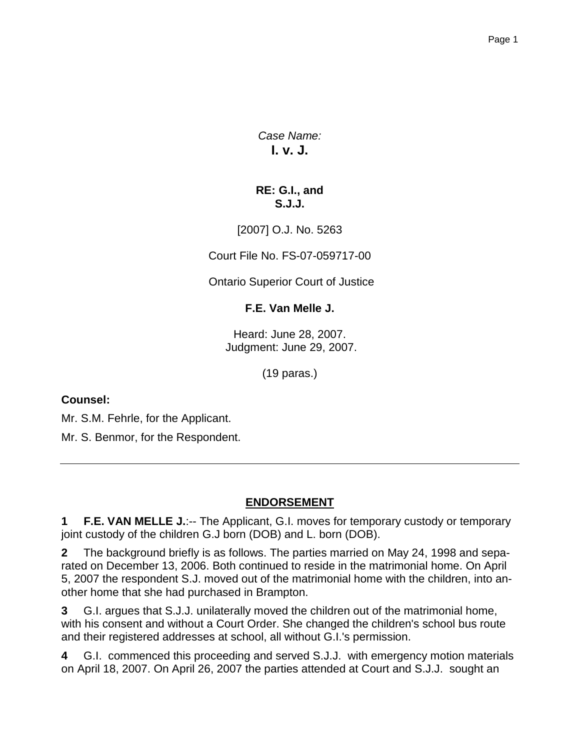*Case Name:* **I. v. J.**

## **RE: G.I., and S.J.J.**

[2007] O.J. No. 5263

Court File No. FS-07-059717-00

Ontario Superior Court of Justice

## **F.E. Van Melle J.**

Heard: June 28, 2007. Judgment: June 29, 2007.

(19 paras.)

## **Counsel:**

Mr. S.M. Fehrle, for the Applicant.

Mr. S. Benmor, for the Respondent.

## **ENDORSEMENT**

**1 F.E. VAN MELLE J.**:-- The Applicant, G.I. moves for temporary custody or temporary joint custody of the children G.J born (DOB) and L. born (DOB).

**2** The background briefly is as follows. The parties married on May 24, 1998 and separated on December 13, 2006. Both continued to reside in the matrimonial home. On April 5, 2007 the respondent S.J. moved out of the matrimonial home with the children, into another home that she had purchased in Brampton.

**3** G.I. argues that S.J.J. unilaterally moved the children out of the matrimonial home, with his consent and without a Court Order. She changed the children's school bus route and their registered addresses at school, all without G.I.'s permission.

**4** G.I. commenced this proceeding and served S.J.J. with emergency motion materials on April 18, 2007. On April 26, 2007 the parties attended at Court and S.J.J. sought an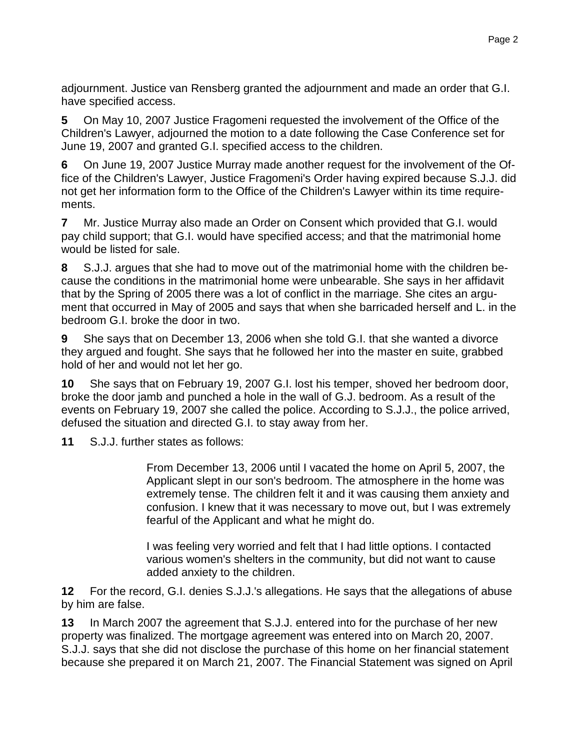adjournment. Justice van Rensberg granted the adjournment and made an order that G.I. have specified access.

**5** On May 10, 2007 Justice Fragomeni requested the involvement of the Office of the Children's Lawyer, adjourned the motion to a date following the Case Conference set for June 19, 2007 and granted G.I. specified access to the children.

**6** On June 19, 2007 Justice Murray made another request for the involvement of the Office of the Children's Lawyer, Justice Fragomeni's Order having expired because S.J.J. did not get her information form to the Office of the Children's Lawyer within its time requirements.

**7** Mr. Justice Murray also made an Order on Consent which provided that G.I. would pay child support; that G.I. would have specified access; and that the matrimonial home would be listed for sale.

**8** S.J.J. argues that she had to move out of the matrimonial home with the children because the conditions in the matrimonial home were unbearable. She says in her affidavit that by the Spring of 2005 there was a lot of conflict in the marriage. She cites an argument that occurred in May of 2005 and says that when she barricaded herself and L. in the bedroom G.I. broke the door in two.

**9** She says that on December 13, 2006 when she told G.I. that she wanted a divorce they argued and fought. She says that he followed her into the master en suite, grabbed hold of her and would not let her go.

**10** She says that on February 19, 2007 G.I. lost his temper, shoved her bedroom door, broke the door jamb and punched a hole in the wall of G.J. bedroom. As a result of the events on February 19, 2007 she called the police. According to S.J.J., the police arrived, defused the situation and directed G.I. to stay away from her.

**11** S.J.J. further states as follows:

From December 13, 2006 until I vacated the home on April 5, 2007, the Applicant slept in our son's bedroom. The atmosphere in the home was extremely tense. The children felt it and it was causing them anxiety and confusion. I knew that it was necessary to move out, but I was extremely fearful of the Applicant and what he might do.

I was feeling very worried and felt that I had little options. I contacted various women's shelters in the community, but did not want to cause added anxiety to the children.

**12** For the record, G.I. denies S.J.J.'s allegations. He says that the allegations of abuse by him are false.

**13** In March 2007 the agreement that S.J.J. entered into for the purchase of her new property was finalized. The mortgage agreement was entered into on March 20, 2007. S.J.J. says that she did not disclose the purchase of this home on her financial statement because she prepared it on March 21, 2007. The Financial Statement was signed on April